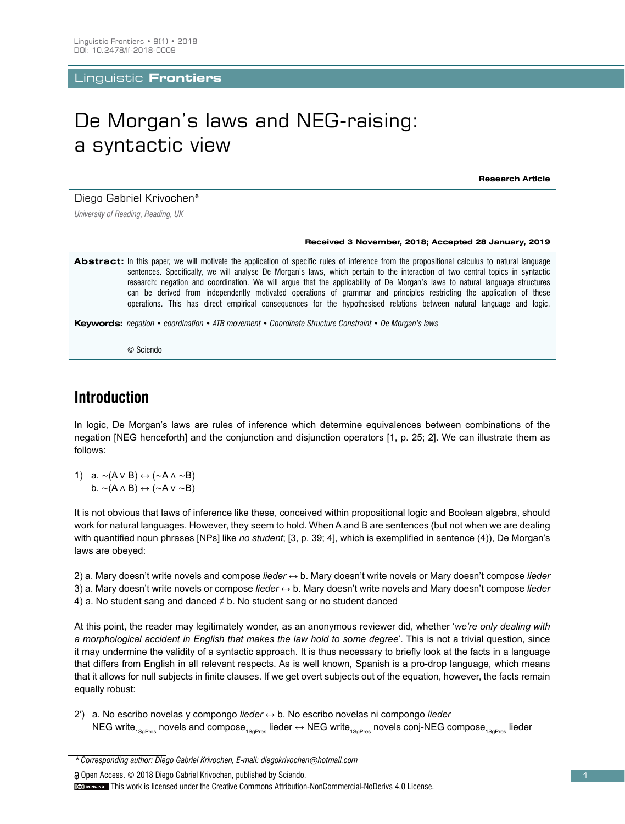Linguistic **Frontiers**

# De Morgan's laws and NEG-raising: a syntactic view

**Research Article**

Diego Gabriel Krivochen\*

*University of Reading, Reading, UK*

#### **Received 3 November, 2018; Accepted 28 January, 2019**

Abstract: In this paper, we will motivate the application of specific rules of inference from the propositional calculus to natural language sentences. Specifically, we will analyse De Morgan's laws, which pertain to the interaction of two central topics in syntactic research: negation and coordination. We will argue that the applicability of De Morgan's laws to natural language structures can be derived from independently motivated operations of grammar and principles restricting the application of these operations. This has direct empirical consequences for the hypothesised relations between natural language and logic.

**Keywords:** *negation • coordination • ATB movement • Coordinate Structure Constraint • De Morgan's laws*

© Sciendo

# **Introduction**

In logic, De Morgan's laws are rules of inference which determine equivalences between combinations of the negation [NEG henceforth] and the conjunction and disjunction operators [1, p. 25; 2]. We can illustrate them as follows:

1) a. ∼(A ∨ B) ↔ (∼A ∧ ∼B) b. ∼(A ∧ B) ↔ (∼A ∨ ∼B)

It is not obvious that laws of inference like these, conceived within propositional logic and Boolean algebra, should work for natural languages. However, they seem to hold. When A and B are sentences (but not when we are dealing with quantified noun phrases [NPs] like *no student*; [3, p. 39; 4], which is exemplified in sentence (4)), De Morgan's laws are obeyed:

2) a. Mary doesn't write novels and compose *lieder* ↔ b. Mary doesn't write novels or Mary doesn't compose *lieder* 3) a. Mary doesn't write novels or compose *lieder* ↔ b. Mary doesn't write novels and Mary doesn't compose *lieder* 4) a. No student sang and danced  $\neq$  b. No student sang or no student danced

At this point, the reader may legitimately wonder, as an anonymous reviewer did, whether '*we're only dealing with a morphological accident in English that makes the law hold to some degree*'. This is not a trivial question, since it may undermine the validity of a syntactic approach. It is thus necessary to briefly look at the facts in a language that differs from English in all relevant respects. As is well known, Spanish is a pro-drop language, which means that it allows for null subjects in finite clauses. If we get overt subjects out of the equation, however, the facts remain equally robust:

2′) a. No escribo novelas y compongo *lieder* ↔ b. No escribo novelas ni compongo *lieder* NEG write<sub>1SaPres</sub> novels and compose<sub>1SaPres</sub> lieder  $\leftrightarrow$  NEG write<sub>1SaPres</sub> novels conj-NEG compose<sub>1SaPres</sub> lieder

Open Access. © 2018 Diego Gabriel Krivochen, published by Sciendo.

*<sup>\*</sup> Corresponding author: Diego Gabriel Krivochen, E-mail: diegokrivochen@hotmail.com*

This work is licensed under the Creative Commons Attribution-NonCommercial-NoDerivs 4.0 License.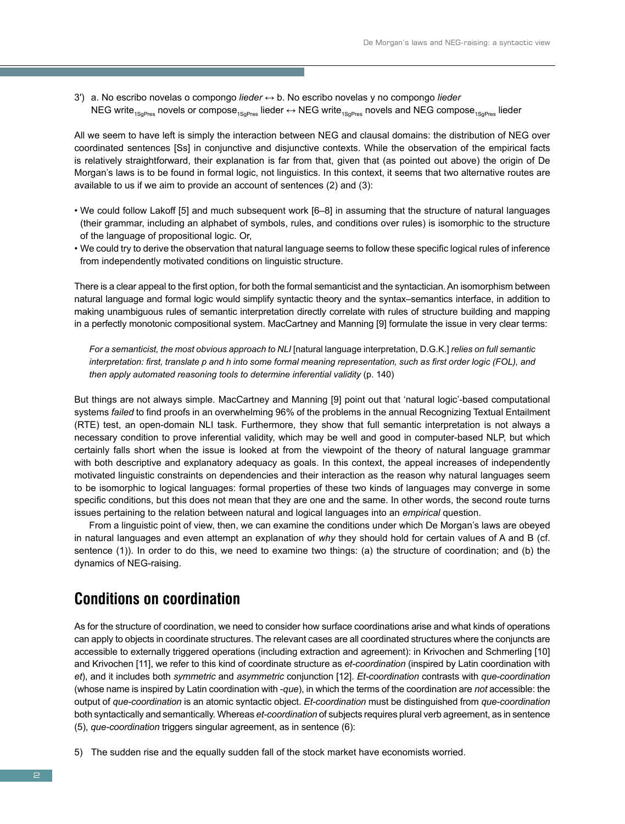3′) a. No escribo novelas o compongo *lieder* ↔ b. No escribo novelas y no compongo *lieder* NEG write<sub>1SoPres</sub> novels or compose<sub>1SoPres</sub> lieder  $\leftrightarrow$  NEG write<sub>1SoPres</sub> novels and NEG compose<sub>1SoPres</sub> lieder

All we seem to have left is simply the interaction between NEG and clausal domains: the distribution of NEG over coordinated sentences [Ss] in conjunctive and disjunctive contexts. While the observation of the empirical facts is relatively straightforward, their explanation is far from that, given that (as pointed out above) the origin of De Morgan's laws is to be found in formal logic, not linguistics. In this context, it seems that two alternative routes are available to us if we aim to provide an account of sentences (2) and (3):

- We could follow Lakoff [5] and much subsequent work [6–8] in assuming that the structure of natural languages (their grammar, including an alphabet of symbols, rules, and conditions over rules) is isomorphic to the structure of the language of propositional logic. Or,
- We could try to derive the observation that natural language seems to follow these specific logical rules of inference from independently motivated conditions on linguistic structure.

There is a clear appeal to the first option, for both the formal semanticist and the syntactician. An isomorphism between natural language and formal logic would simplify syntactic theory and the syntax–semantics interface, in addition to making unambiguous rules of semantic interpretation directly correlate with rules of structure building and mapping in a perfectly monotonic compositional system. MacCartney and Manning [9] formulate the issue in very clear terms:

*For a semanticist, the most obvious approach to NLI* [natural language interpretation, D.G.K.] *relies on full semantic interpretation: first, translate p and h into some formal meaning representation, such as first order logic (FOL), and then apply automated reasoning tools to determine inferential validity* (p. 140)

But things are not always simple. MacCartney and Manning [9] point out that 'natural logic'-based computational systems *failed* to find proofs in an overwhelming 96% of the problems in the annual Recognizing Textual Entailment (RTE) test, an open-domain NLI task. Furthermore, they show that full semantic interpretation is not always a necessary condition to prove inferential validity, which may be well and good in computer-based NLP, but which certainly falls short when the issue is looked at from the viewpoint of the theory of natural language grammar with both descriptive and explanatory adequacy as goals. In this context, the appeal increases of independently motivated linguistic constraints on dependencies and their interaction as the reason why natural languages seem to be isomorphic to logical languages: formal properties of these two kinds of languages may converge in some specific conditions, but this does not mean that they are one and the same. In other words, the second route turns issues pertaining to the relation between natural and logical languages into an *empirical* question.

From a linguistic point of view, then, we can examine the conditions under which De Morgan's laws are obeyed in natural languages and even attempt an explanation of *why* they should hold for certain values of A and B (cf. sentence (1)). In order to do this, we need to examine two things: (a) the structure of coordination; and (b) the dynamics of NEG-raising.

### **Conditions on coordination**

As for the structure of coordination, we need to consider how surface coordinations arise and what kinds of operations can apply to objects in coordinate structures. The relevant cases are all coordinated structures where the conjuncts are accessible to externally triggered operations (including extraction and agreement): in Krivochen and Schmerling [10] and Krivochen [11], we refer to this kind of coordinate structure as *et-coordination* (inspired by Latin coordination with *et*), and it includes both *symmetric* and *asymmetric* conjunction [12]. *Et-coordination* contrasts with *que-coordination* (whose name is inspired by Latin coordination with -*que*), in which the terms of the coordination are *not* accessible: the output of *que-coordination* is an atomic syntactic object. *Et-coordination* must be distinguished from *que-coordination* both syntactically and semantically. Whereas *et-coordination* of subjects requires plural verb agreement, as in sentence (5), *que-coordination* triggers singular agreement, as in sentence (6):

5) The sudden rise and the equally sudden fall of the stock market have economists worried.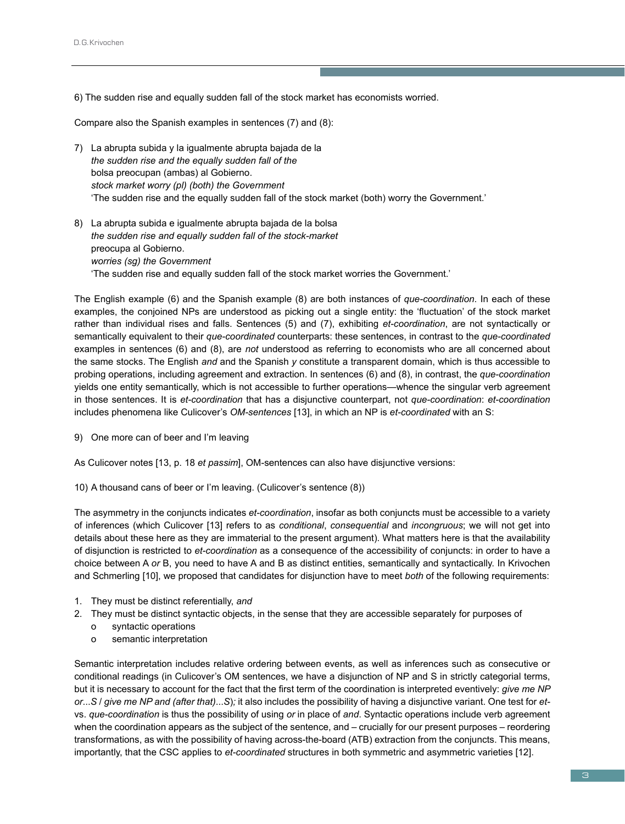6) The sudden rise and equally sudden fall of the stock market has economists worried.

Compare also the Spanish examples in sentences (7) and (8):

- 7) La abrupta subida y la igualmente abrupta bajada de la *the sudden rise and the equally sudden fall of the* bolsa preocupan (ambas) al Gobierno. *stock market worry (pl) (both) the Government* 'The sudden rise and the equally sudden fall of the stock market (both) worry the Government.'
- 8) La abrupta subida e igualmente abrupta bajada de la bolsa *the sudden rise and equally sudden fall of the stock-market* preocupa al Gobierno. *worries (sg) the Government* 'The sudden rise and equally sudden fall of the stock market worries the Government.'

The English example (6) and the Spanish example (8) are both instances of *que-coordination*. In each of these examples, the conjoined NPs are understood as picking out a single entity: the 'fluctuation' of the stock market rather than individual rises and falls. Sentences (5) and (7), exhibiting *et-coordination*, are not syntactically or semantically equivalent to their *que-coordinated* counterparts: these sentences, in contrast to the *que-coordinated* examples in sentences (6) and (8), are *not* understood as referring to economists who are all concerned about the same stocks. The English *and* and the Spanish *y* constitute a transparent domain, which is thus accessible to probing operations, including agreement and extraction. In sentences (6) and (8), in contrast, the *que-coordination* yields one entity semantically, which is not accessible to further operations—whence the singular verb agreement in those sentences. It is *et-coordination* that has a disjunctive counterpart, not *que-coordination*: *et-coordination* includes phenomena like Culicover's *OM-sentences* [13], in which an NP is *et-coordinated* with an S:

9) One more can of beer and I'm leaving

As Culicover notes [13, p. 18 *et passim*], OM-sentences can also have disjunctive versions:

10) A thousand cans of beer or I'm leaving. (Culicover's sentence (8))

The asymmetry in the conjuncts indicates *et-coordination*, insofar as both conjuncts must be accessible to a variety of inferences (which Culicover [13] refers to as *conditional*, *consequential* and *incongruous*; we will not get into details about these here as they are immaterial to the present argument). What matters here is that the availability of disjunction is restricted to *et-coordination* as a consequence of the accessibility of conjuncts: in order to have a choice between A *or* B, you need to have A and B as distinct entities, semantically and syntactically. In Krivochen and Schmerling [10], we proposed that candidates for disjunction have to meet *both* of the following requirements:

- 1. They must be distinct referentially, *and*
- 2. They must be distinct syntactic objects, in the sense that they are accessible separately for purposes of
	- o syntactic operations
	- o semantic interpretation

Semantic interpretation includes relative ordering between events, as well as inferences such as consecutive or conditional readings (in Culicover's OM sentences, we have a disjunction of NP and S in strictly categorial terms, but it is necessary to account for the fact that the first term of the coordination is interpreted eventively: *give me NP or*...*S* / *give me NP and (after that)*...*S*)*;* it also includes the possibility of having a disjunctive variant. One test for *et*vs. *que-coordination* is thus the possibility of using *or* in place of *and*. Syntactic operations include verb agreement when the coordination appears as the subject of the sentence, and – crucially for our present purposes – reordering transformations, as with the possibility of having across-the-board (ATB) extraction from the conjuncts. This means, importantly, that the CSC applies to *et-coordinated* structures in both symmetric and asymmetric varieties [12].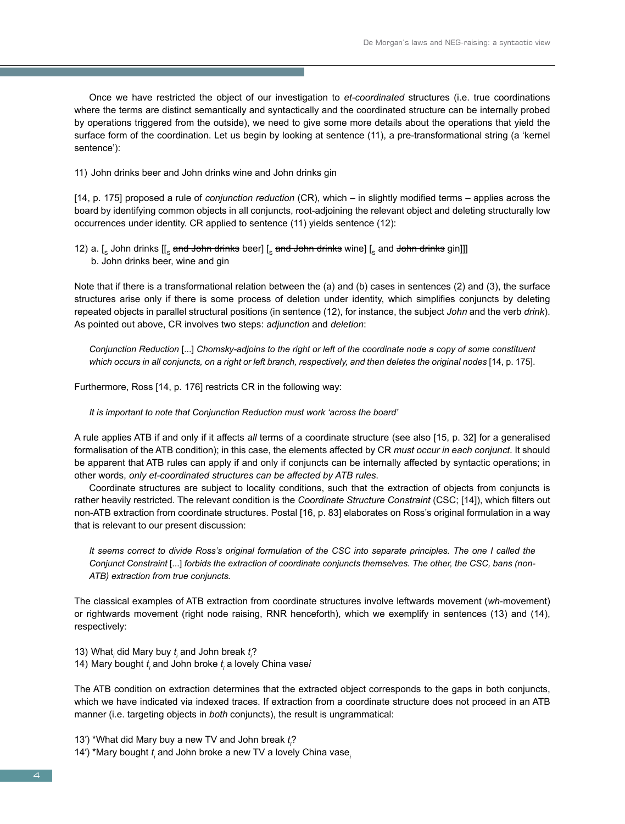Once we have restricted the object of our investigation to *et-coordinated* structures (i.e. true coordinations where the terms are distinct semantically and syntactically and the coordinated structure can be internally probed by operations triggered from the outside), we need to give some more details about the operations that yield the surface form of the coordination. Let us begin by looking at sentence (11), a pre-transformational string (a 'kernel sentence'):

11) John drinks beer and John drinks wine and John drinks gin

[14, p. 175] proposed a rule of *conjunction reduction* (CR), which – in slightly modified terms – applies across the board by identifying common objects in all conjuncts, root-adjoining the relevant object and deleting structurally low occurrences under identity. CR applied to sentence (11) yields sentence (12):

12) a.  $\left[\frac{1}{2}\right]$  John drinks  $\left[\frac{1}{2}\right]$  and John drinks beer]  $\left[\frac{1}{2}\right]$  and John drinks gin]]] b. John drinks beer, wine and gin

Note that if there is a transformational relation between the (a) and (b) cases in sentences (2) and (3), the surface structures arise only if there is some process of deletion under identity, which simplifies conjuncts by deleting repeated objects in parallel structural positions (in sentence (12), for instance, the subject *John* and the verb *drink*). As pointed out above, CR involves two steps: *adjunction* and *deletion*:

*Conjunction Reduction* [...] *Chomsky-adjoins to the right or left of the coordinate node a copy of some constituent which occurs in all conjuncts, on a right or left branch, respectively, and then deletes the original nodes* [14, p. 175].

Furthermore, Ross [14, p. 176] restricts CR in the following way:

*It is important to note that Conjunction Reduction must work 'across the board'*

A rule applies ATB if and only if it affects *all* terms of a coordinate structure (see also [15, p. 32] for a generalised formalisation of the ATB condition); in this case, the elements affected by CR *must occur in each conjunct*. It should be apparent that ATB rules can apply if and only if conjuncts can be internally affected by syntactic operations; in other words, *only et-coordinated structures can be affected by ATB rules*.

Coordinate structures are subject to locality conditions, such that the extraction of objects from conjuncts is rather heavily restricted. The relevant condition is the *Coordinate Structure Constraint* (CSC; [14]), which filters out non-ATB extraction from coordinate structures. Postal [16, p. 83] elaborates on Ross's original formulation in a way that is relevant to our present discussion:

*It seems correct to divide Ross's original formulation of the CSC into separate principles. The one I called the Conjunct Constraint* [...] *forbids the extraction of coordinate conjuncts themselves. The other, the CSC, bans (non-ATB) extraction from true conjuncts.*

The classical examples of ATB extraction from coordinate structures involve leftwards movement (*wh*-movement) or rightwards movement (right node raising, RNR henceforth), which we exemplify in sentences (13) and (14), respectively:

13) What*<sup>i</sup>* did Mary buy *t i* and John break *t i* ?

14) Mary bought  $t_{\scriptscriptstyle\mathit{i}}$  and John broke  $t_{\scriptscriptstyle\mathit{i}}$  a lovely China vase*i* 

The ATB condition on extraction determines that the extracted object corresponds to the gaps in both conjuncts, which we have indicated via indexed traces. If extraction from a coordinate structure does not proceed in an ATB manner (i.e. targeting objects in *both* conjuncts), the result is ungrammatical:

13′) \*What did Mary buy a new TV and John break *t i* ?

14′) \*Mary bought *t i* and John broke a new TV a lovely China vase*<sup>i</sup>*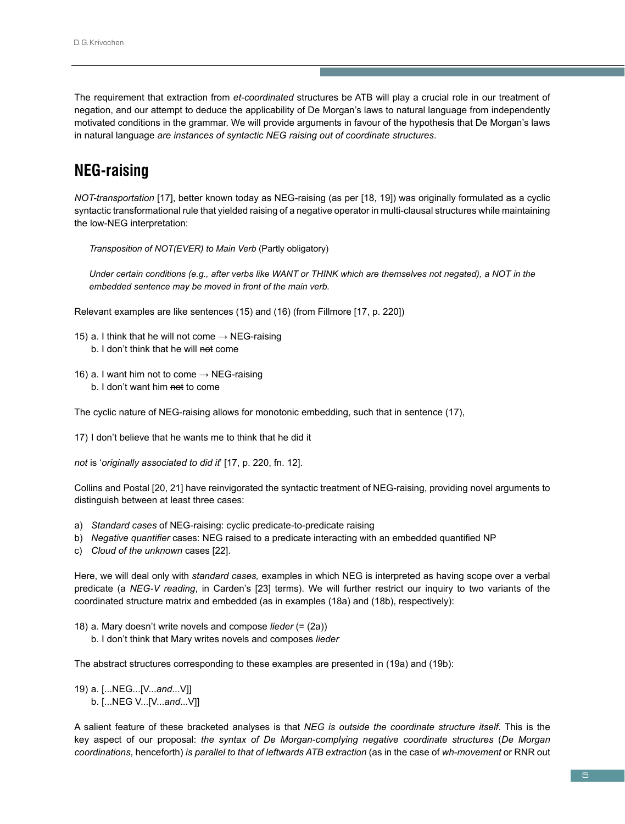The requirement that extraction from *et-coordinated* structures be ATB will play a crucial role in our treatment of negation, and our attempt to deduce the applicability of De Morgan's laws to natural language from independently motivated conditions in the grammar. We will provide arguments in favour of the hypothesis that De Morgan's laws in natural language *are instances of syntactic NEG raising out of coordinate structures*.

# **NEG-raising**

*NOT-transportation* [17], better known today as NEG-raising (as per [18, 19]) was originally formulated as a cyclic syntactic transformational rule that yielded raising of a negative operator in multi-clausal structures while maintaining the low-NEG interpretation:

*Transposition of NOT(EVER) to Main Verb* (Partly obligatory)

*Under certain conditions (e.g., after verbs like WANT or THINK which are themselves not negated), a NOT in the embedded sentence may be moved in front of the main verb.*

Relevant examples are like sentences (15) and (16) (from Fillmore [17, p. 220])

- 15) a. I think that he will not come  $\rightarrow$  NEG-raising b. I don't think that he will not come
- 16) a. I want him not to come  $\rightarrow$  NEG-raising b. I don't want him not to come

The cyclic nature of NEG-raising allows for monotonic embedding, such that in sentence (17),

17) I don't believe that he wants me to think that he did it

*not* is '*originally associated to did it*' [17, p. 220, fn. 12].

Collins and Postal [20, 21] have reinvigorated the syntactic treatment of NEG-raising, providing novel arguments to distinguish between at least three cases:

- a) *Standard cases* of NEG-raising: cyclic predicate-to-predicate raising
- b) *Negative quantifier* cases: NEG raised to a predicate interacting with an embedded quantified NP
- c) *Cloud of the unknown* cases [22].

Here, we will deal only with *standard cases,* examples in which NEG is interpreted as having scope over a verbal predicate (a *NEG-V reading*, in Carden's [23] terms). We will further restrict our inquiry to two variants of the coordinated structure matrix and embedded (as in examples (18a) and (18b), respectively):

- 18) a. Mary doesn't write novels and compose *lieder* (= (2a))
	- b. I don't think that Mary writes novels and composes *lieder*

The abstract structures corresponding to these examples are presented in (19a) and (19b):

19) a. [...NEG...[V...*and*...V]] b. [...NEG V...[V...*and*...V]]

A salient feature of these bracketed analyses is that *NEG is outside the coordinate structure itself*. This is the key aspect of our proposal: *the syntax of De Morgan-complying negative coordinate structures* (*De Morgan coordinations*, henceforth) *is parallel to that of leftwards ATB extraction* (as in the case of *wh-movement* or RNR out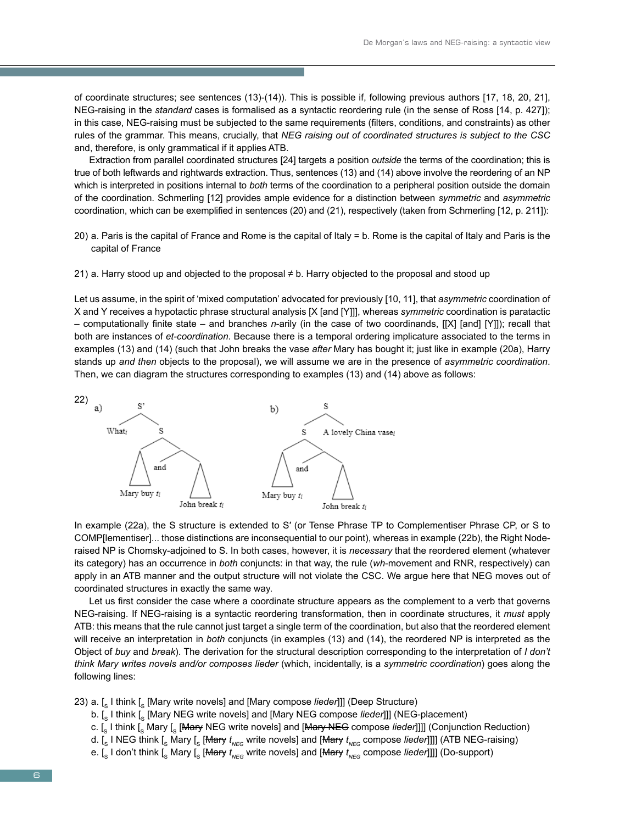of coordinate structures; see sentences (13)-(14)). This is possible if, following previous authors [17, 18, 20, 21], NEG-raising in the *standard* cases is formalised as a syntactic reordering rule (in the sense of Ross [14, p. 427]); in this case, NEG-raising must be subjected to the same requirements (filters, conditions, and constraints) as other rules of the grammar. This means, crucially, that *NEG raising out of coordinated structures is subject to the CSC* and, therefore, is only grammatical if it applies ATB.

Extraction from parallel coordinated structures [24] targets a position *outside* the terms of the coordination; this is true of both leftwards and rightwards extraction. Thus, sentences (13) and (14) above involve the reordering of an NP which is interpreted in positions internal to *both* terms of the coordination to a peripheral position outside the domain of the coordination. Schmerling [12] provides ample evidence for a distinction between *symmetric* and *asymmetric* coordination, which can be exemplified in sentences (20) and (21), respectively (taken from Schmerling [12, p. 211]):

- 20) a. Paris is the capital of France and Rome is the capital of Italy = b. Rome is the capital of Italy and Paris is the capital of France
- 21) a. Harry stood up and objected to the proposal ≠ b. Harry objected to the proposal and stood up

Let us assume, in the spirit of 'mixed computation' advocated for previously [10, 11], that *asymmetric* coordination of X and Y receives a hypotactic phrase structural analysis [X [and [Y]]], whereas *symmetric* coordination is paratactic – computationally finite state – and branches *n*-arily (in the case of two coordinands, [[X] [and] [Y]]); recall that both are instances of *et-coordination*. Because there is a temporal ordering implicature associated to the terms in examples (13) and (14) (such that John breaks the vase *after* Mary has bought it; just like in example (20a), Harry stands up *and then* objects to the proposal), we will assume we are in the presence of *asymmetric coordination*. Then, we can diagram the structures corresponding to examples (13) and (14) above as follows:



In example (22a), the S structure is extended to S′ (or Tense Phrase TP to Complementiser Phrase CP, or S to COMP[lementiser]... those distinctions are inconsequential to our point), whereas in example (22b), the Right Noderaised NP is Chomsky-adjoined to S. In both cases, however, it is *necessary* that the reordered element (whatever its category) has an occurrence in *both* conjuncts: in that way, the rule (*wh*-movement and RNR, respectively) can apply in an ATB manner and the output structure will not violate the CSC. We argue here that NEG moves out of coordinated structures in exactly the same way.

Let us first consider the case where a coordinate structure appears as the complement to a verb that governs NEG-raising. If NEG-raising is a syntactic reordering transformation, then in coordinate structures, it *must* apply ATB: this means that the rule cannot just target a single term of the coordination, but also that the reordered element will receive an interpretation in *both* conjuncts (in examples (13) and (14), the reordered NP is interpreted as the Object of *buy* and *break*). The derivation for the structural description corresponding to the interpretation of *I don't think Mary writes novels and/or composes lieder* (which, incidentally, is a *symmetric coordination*) goes along the following lines:

- 23) a. [s I think [s [Mary write novels] and [Mary compose *lieder*]]] (Deep Structure)
	- b. [<sub>S</sub> I think [<sub>S</sub> [Mary NEG write novels] and [Mary NEG compose *lieder*]]] (NEG-placement)
	- c. [s I think [s Mary [s [<del>Mary</del> NEG write novels] and [Mary NEG compose *lieder*]]]] (Conjunction Reduction)
	- d. [<sub>s</sub> I NEG think [<sub>s</sub> Mary [<sub>s</sub> [<del>Mary</del>  $t_{\sf\scriptscriptstyle NEG}$  write novels] and [<del>Mary</del>  $t_{\sf\scriptscriptstyle NEG}$  compose *lieder*]]]] (ATB NEG-raising)
	- e. [<sub>s</sub> I don't think [<sub>s</sub> Mary [<sub>s</sub> [<del>Mary</del>  $t_{\sf \tiny NEG}$  write novels] and [<del>Mary</del>  $t_{\sf \tiny NEG}$  compose *lieder*]]]] (Do-support)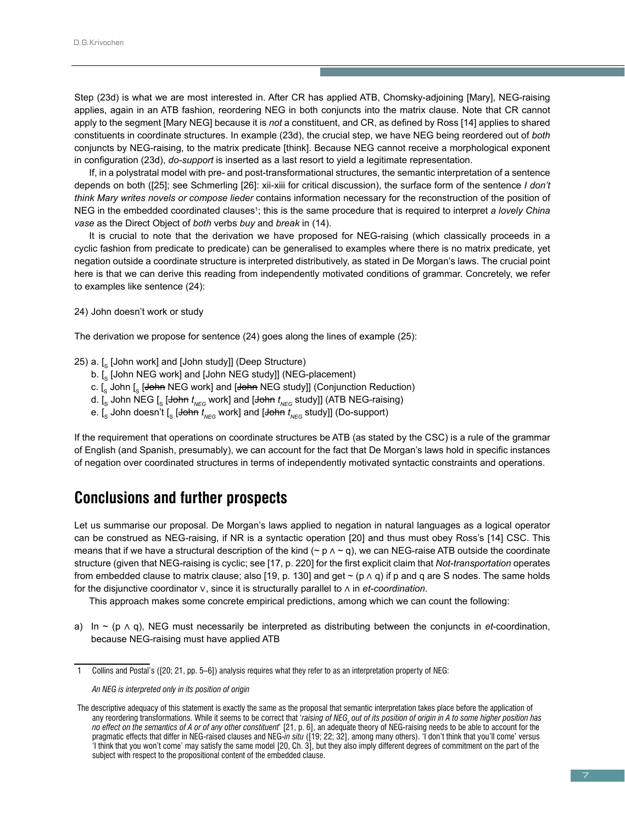Step (23d) is what we are most interested in. After CR has applied ATB, Chomsky-adjoining [Mary], NEG-raising applies, again in an ATB fashion, reordering NEG in both conjuncts into the matrix clause. Note that CR cannot apply to the segment [Mary NEG] because it is *not* a constituent, and CR, as defined by Ross [14] applies to shared constituents in coordinate structures. In example (23d), the crucial step, we have NEG being reordered out of *both* conjuncts by NEG-raising, to the matrix predicate [think]. Because NEG cannot receive a morphological exponent in configuration (23d), *do-support* is inserted as a last resort to yield a legitimate representation.

If, in a polystratal model with pre- and post-transformational structures, the semantic interpretation of a sentence depends on both ([25]; see Schmerling [26]: xii-xiii for critical discussion), the surface form of the sentence *I don't think Mary writes novels or compose lieder* contains information necessary for the reconstruction of the position of NEG in the embedded coordinated clauses<sup>1</sup>; this is the same procedure that is required to interpret *a lovely China vase* as the Direct Object of *both* verbs *buy* and *break* in (14).

It is crucial to note that the derivation we have proposed for NEG-raising (which classically proceeds in a cyclic fashion from predicate to predicate) can be generalised to examples where there is no matrix predicate, yet negation outside a coordinate structure is interpreted distributively, as stated in De Morgan's laws. The crucial point here is that we can derive this reading from independently motivated conditions of grammar. Concretely, we refer to examples like sentence (24):

### 24) John doesn't work or study

The derivation we propose for sentence (24) goes along the lines of example (25):

### 25) a.  $\lceil$ . [John work] and [John study]] (Deep Structure)

- b.  $\left[\int_{S}$  [John NEG work] and [John NEG study]] (NEG-placement)
- c.  $\left[\int_S$  John  $\left[\int_S$  [John NEG work] and [John NEG study]] (Conjunction Reduction)
- d. [<sub>s</sub> John NEG [<sub>s</sub> [<del>John</del>  $t_{\sf \scriptscriptstyle NEG}$  work] and [<del>John</del>  $t_{\sf \scriptscriptstyle NEG}$  study]] (ATB NEG-raising)
- e. [<sub>s</sub> John doesn't [<sub>s</sub> [<del>John</del>  $t_{\text{\tiny NEG}}$  work] and [<del>John</del>  $t_{\text{\tiny NEG}}$  study]] (Do-support)

If the requirement that operations on coordinate structures be ATB (as stated by the CSC) is a rule of the grammar of English (and Spanish, presumably), we can account for the fact that De Morgan's laws hold in specific instances of negation over coordinated structures in terms of independently motivated syntactic constraints and operations.

### **Conclusions and further prospects**

Let us summarise our proposal. De Morgan's laws applied to negation in natural languages as a logical operator can be construed as NEG-raising, if NR is a syntactic operation [20] and thus must obey Ross's [14] CSC. This means that if we have a structural description of the kind (~  $p \wedge \sim q$ ), we can NEG-raise ATB outside the coordinate structure (given that NEG-raising is cyclic; see [17, p. 220] for the first explicit claim that *Not-transportation* operates from embedded clause to matrix clause; also [19, p. 130] and get ~ (p  $\land$  q) if p and q are S nodes. The same holds for the disjunctive coordinator ∨, since it is structurally parallel to ∧ in *et-coordination*.

This approach makes some concrete empirical predictions, among which we can count the following:

a) In ~ (p ∧ q), NEG must necessarily be interpreted as distributing between the conjuncts in *et*-coordination, because NEG-raising must have applied ATB

<sup>1</sup> Collins and Postal's ([20; 21, pp. 5–6]) analysis requires what they refer to as an interpretation property of NEG:

*An NEG is interpreted only in its position of origin* 

The descriptive adequacy of this statement is exactly the same as the proposal that semantic interpretation takes place before the application of any reordering transformations. While it seems to be correct that *'raising of NEG<sub>x</sub> out of its position of origin in A to some higher position has no effect on the semantics of A or of any other constituent*' [21, p. 6], an adequate theory of NEG-raising needs to be able to account for the pragmatic effects that differ in NEG-raised clauses and NEG-*in situ* ([19; 22; 32], among many others). 'I don't think that you'll come' versus 'I think that you won't come' may satisfy the same model [20, Ch. 3], but they also imply different degrees of commitment on the part of the subject with respect to the propositional content of the embedded clause.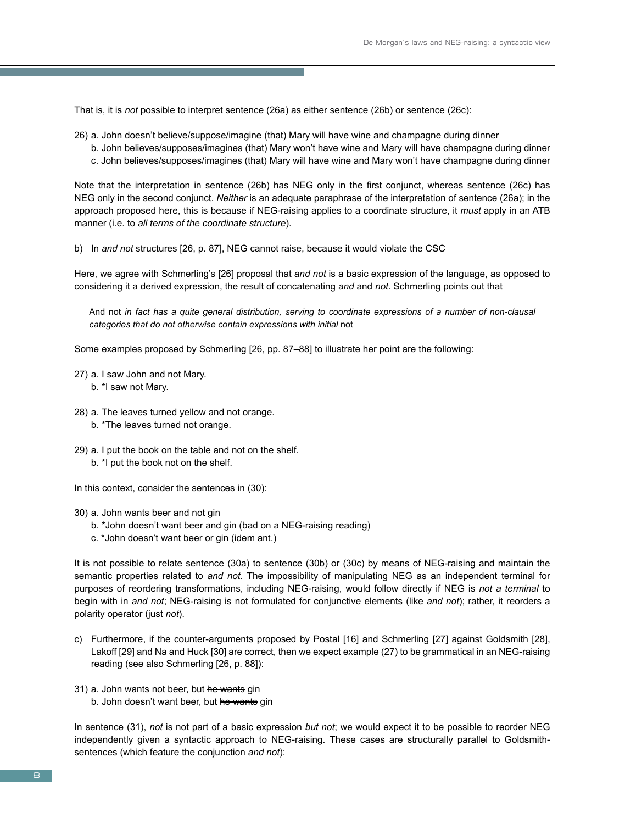That is, it is *not* possible to interpret sentence (26a) as either sentence (26b) or sentence (26c):

- 26) a. John doesn't believe/suppose/imagine (that) Mary will have wine and champagne during dinner
	- b. John believes/supposes/imagines (that) Mary won't have wine and Mary will have champagne during dinner c. John believes/supposes/imagines (that) Mary will have wine and Mary won't have champagne during dinner

Note that the interpretation in sentence (26b) has NEG only in the first conjunct, whereas sentence (26c) has NEG only in the second conjunct. *Neither* is an adequate paraphrase of the interpretation of sentence (26a); in the approach proposed here, this is because if NEG-raising applies to a coordinate structure, it *must* apply in an ATB manner (i.e. to *all terms of the coordinate structure*).

b) In *and not* structures [26, p. 87], NEG cannot raise, because it would violate the CSC

Here, we agree with Schmerling's [26] proposal that *and not* is a basic expression of the language, as opposed to considering it a derived expression, the result of concatenating *and* and *not*. Schmerling points out that

And not *in fact has a quite general distribution, serving to coordinate expressions of a number of non-clausal categories that do not otherwise contain expressions with initial* not

Some examples proposed by Schmerling [26, pp. 87–88] to illustrate her point are the following:

- 27) a. I saw John and not Mary. b. \*I saw not Mary.
- 28) a. The leaves turned yellow and not orange. b. \*The leaves turned not orange.
- 29) a. I put the book on the table and not on the shelf. b. \*I put the book not on the shelf.
- In this context, consider the sentences in (30):
- 30) a. John wants beer and not gin
	- b. \*John doesn't want beer and gin (bad on a NEG-raising reading)
	- c. \*John doesn't want beer or gin (idem ant.)

It is not possible to relate sentence (30a) to sentence (30b) or (30c) by means of NEG-raising and maintain the semantic properties related to *and not*. The impossibility of manipulating NEG as an independent terminal for purposes of reordering transformations, including NEG-raising, would follow directly if NEG is *not a terminal* to begin with in *and not*; NEG-raising is not formulated for conjunctive elements (like *and not*); rather, it reorders a polarity operator (just *not*).

- c) Furthermore, if the counter-arguments proposed by Postal [16] and Schmerling [27] against Goldsmith [28], Lakoff [29] and Na and Huck [30] are correct, then we expect example (27) to be grammatical in an NEG-raising reading (see also Schmerling [26, p. 88]):
- 31) a. John wants not beer, but he wants gin
	- b. John doesn't want beer, but he wants gin

In sentence (31), *not* is not part of a basic expression *but not*; we would expect it to be possible to reorder NEG independently given a syntactic approach to NEG-raising. These cases are structurally parallel to Goldsmithsentences (which feature the conjunction *and not*):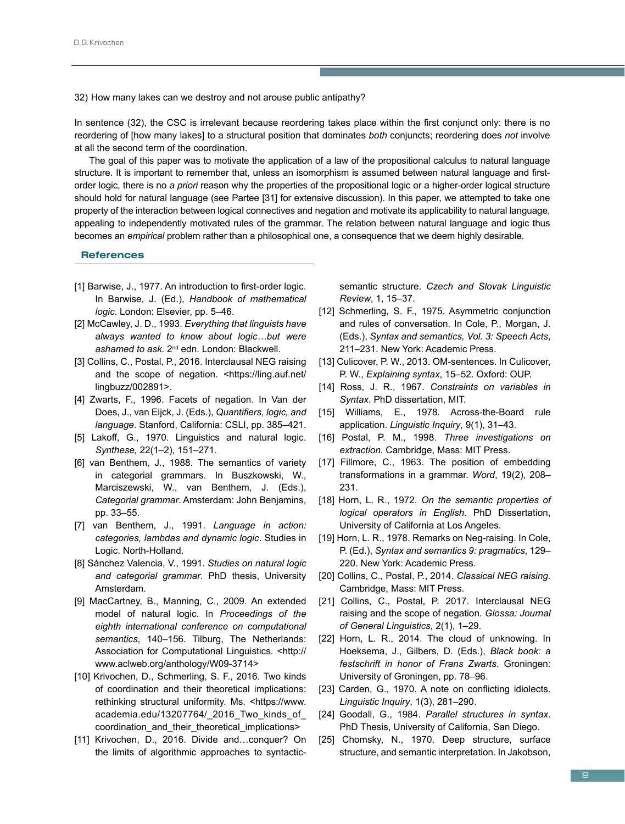32) How many lakes can we destroy and not arouse public antipathy?

In sentence (32), the CSC is irrelevant because reordering takes place within the first conjunct only: there is no reordering of [how many lakes] to a structural position that dominates *both* conjuncts; reordering does *not* involve at all the second term of the coordination.

The goal of this paper was to motivate the application of a law of the propositional calculus to natural language structure. It is important to remember that, unless an isomorphism is assumed between natural language and firstorder logic, there is no *a priori* reason why the properties of the propositional logic or a higher-order logical structure should hold for natural language (see Partee [31] for extensive discussion). In this paper, we attempted to take one property of the interaction between logical connectives and negation and motivate its applicability to natural language, appealing to independently motivated rules of the grammar. The relation between natural language and logic thus becomes an *empirical* problem rather than a philosophical one, a consequence that we deem highly desirable.

### **References**

- [1] Barwise, J., 1977. An introduction to first-order logic. In Barwise, J. (Ed.), *Handbook of mathematical logic*. London: Elsevier, pp. 5–46.
- [2] McCawley, J. D., 1993. *Everything that linguists have always wanted to know about logic…but were ashamed to ask*. 2nd edn. London: Blackwell.
- [3] Collins, C., Postal, P., 2016. Interclausal NEG raising and the scope of negation. <https://ling.auf.net/ lingbuzz/002891>.
- [4] Zwarts, F., 1996. Facets of negation. In Van der Does, J., van Eijck, J. (Eds.), *Quantifiers, logic, and language*. Stanford, California: CSLI, pp. 385–421.
- [5] Lakoff, G., 1970. Linguistics and natural logic. *Synthese,* 22(1–2), 151–271.
- [6] van Benthem, J., 1988. The semantics of variety in categorial grammars. In Buszkowski, W., Marciszewski, W., van Benthem, J. (Eds.), *Categorial grammar*. Amsterdam: John Benjamins, pp. 33–55.
- [7] van Benthem, J., 1991. *Language in action: categories, lambdas and dynamic logic*. Studies in Logic. North-Holland.
- [8] Sánchez Valencia, V., 1991. *Studies on natural logic and categorial grammar*. PhD thesis, University Amsterdam.
- [9] MacCartney, B., Manning, C., 2009. An extended model of natural logic. In *Proceedings of the eighth international conference on computational semantics*, 140–156. Tilburg, The Netherlands: Association for Computational Linguistics. <http:// www.aclweb.org/anthology/W09-3714>
- [10] Krivochen, D., Schmerling, S. F., 2016. Two kinds of coordination and their theoretical implications: rethinking structural uniformity. Ms. <https://www. academia.edu/13207764/\_2016\_Two\_kinds\_of\_ coordination\_and\_their\_theoretical\_implications>
- [11] Krivochen, D., 2016. Divide and...conquer? On the limits of algorithmic approaches to syntactic-

semantic structure. *Czech and Slovak Linguistic Review*, 1, 15–37.

- [12] Schmerling, S. F., 1975. Asymmetric conjunction and rules of conversation. In Cole, P., Morgan, J. (Eds.), *Syntax and semantics, Vol. 3: Speech Acts*, 211–231. New York: Academic Press.
- [13] Culicover, P. W., 2013. OM-sentences. In Culicover, P. W., *Explaining syntax*, 15–52. Oxford: OUP.
- [14] Ross, J. R., 1967. *Constraints on variables in Syntax*. PhD dissertation, MIT.
- [15] Williams, E., 1978. Across-the-Board rule application. *Linguistic Inquiry*, 9(1), 31–43.
- [16] Postal, P. M., 1998. *Three investigations on extraction*. Cambridge, Mass: MIT Press.
- [17] Fillmore, C., 1963. The position of embedding transformations in a grammar. *Word*, 19(2), 208– 231.
- [18] Horn, L. R., 1972. *On the semantic properties of logical operators in English*. PhD Dissertation, University of California at Los Angeles.
- [19] Horn, L. R., 1978. Remarks on Neg-raising. In Cole, P. (Ed.), *Syntax and semantics 9: pragmatics*, 129– 220. New York: Academic Press.
- [20] Collins, C., Postal, P., 2014. *Classical NEG raising*. Cambridge, Mass: MIT Press.
- [21] Collins, C., Postal, P. 2017. Interclausal NEG raising and the scope of negation. *Glossa: Journal of General Linguistics*, 2(1), 1–29.
- [22] Horn, L. R., 2014. The cloud of unknowing. In Hoeksema, J., Gilbers, D. (Eds.), *Black book: a festschrift in honor of Frans Zwarts*. Groningen: University of Groningen, pp. 78–96.
- [23] Carden, G., 1970. A note on conflicting idiolects. *Linguistic Inquiry*, 1(3), 281–290.
- [24] Goodall, G., 1984. *Parallel structures in syntax*. PhD Thesis, University of California, San Diego.
- [25] Chomsky, N., 1970. Deep structure, surface structure, and semantic interpretation. In Jakobson,